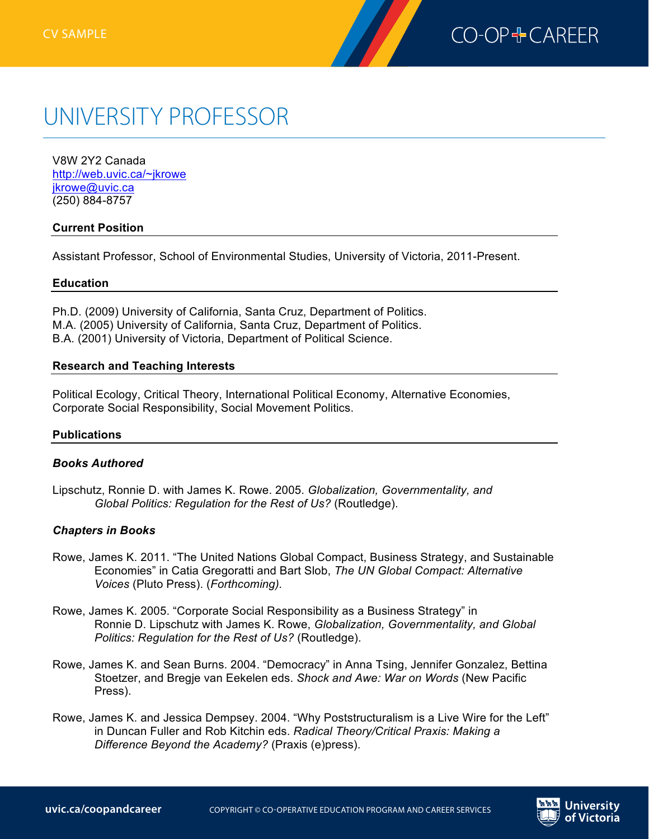

#### UNIVERSITY PROFESSOR JINIVERSIT Y PO Box 3060 STN CSC

V8W 2Y2 Canada http://web.uvic.ca/~jkrowe jkrowe@uvic.ca (250) 884-8757

### **Current Position**

Assistant Professor, School of Environmental Studies, University of Victoria, 2011-Present.

#### **Education**

Ph.D. (2009) University of California, Santa Cruz, Department of Politics. M.A. (2005) University of California, Santa Cruz, Department of Politics. B.A. (2001) University of Victoria, Department of Political Science.

### **Research and Teaching Interests**

Political Ecology, Critical Theory, International Political Economy, Alternative Economies, Corporate Social Responsibility, Social Movement Politics.

### **Publications**

### *Books Authored*

Lipschutz, Ronnie D. with James K. Rowe. 2005. *Globalization, Governmentality, and Global Politics: Regulation for the Rest of Us?* (Routledge).

### *Chapters in Books*

- Rowe, James K. 2011. "The United Nations Global Compact, Business Strategy, and Sustainable Economies" in Catia Gregoratti and Bart Slob, *The UN Global Compact: Alternative Voices* (Pluto Press). (*Forthcoming).*
- Rowe, James K. 2005. "Corporate Social Responsibility as a Business Strategy" in Ronnie D. Lipschutz with James K. Rowe, *Globalization, Governmentality, and Global Politics: Regulation for the Rest of Us?* (Routledge).
- Rowe, James K. and Sean Burns. 2004. "Democracy" in Anna Tsing, Jennifer Gonzalez, Bettina Stoetzer, and Bregje van Eekelen eds. *Shock and Awe: War on Words* (New Pacific Press).
- Rowe, James K. and Jessica Dempsey. 2004. "Why Poststructuralism is a Live Wire for the Left" in Duncan Fuller and Rob Kitchin eds. *Radical Theory/Critical Praxis: Making a Difference Beyond the Academy?* (Praxis (e)press).

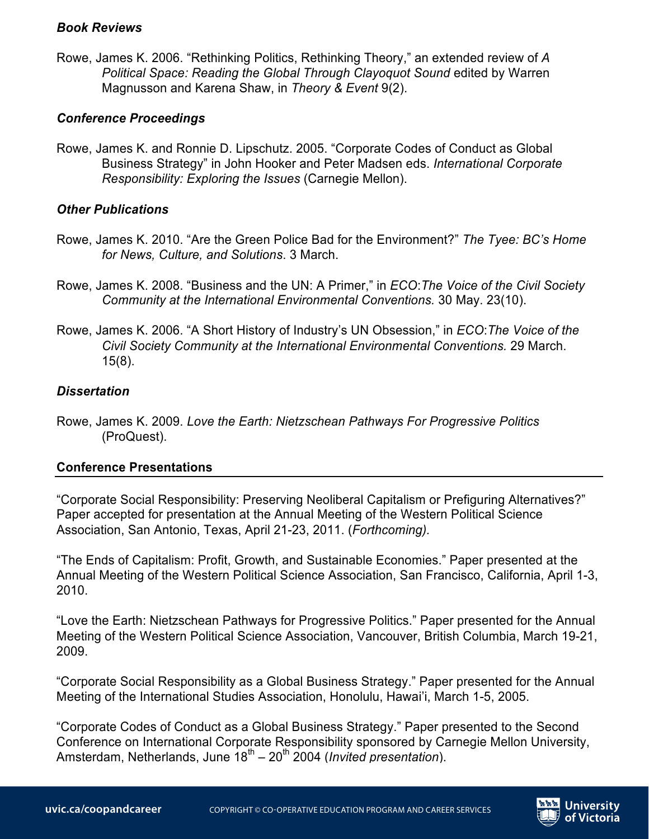### *Book Reviews*

Rowe, James K. 2006. "Rethinking Politics, Rethinking Theory," an extended review of *A Political Space: Reading the Global Through Clayoquot Sound* edited by Warren Magnusson and Karena Shaw, in *Theory & Event* 9(2).

# *Conference Proceedings*

Rowe, James K. and Ronnie D. Lipschutz. 2005. "Corporate Codes of Conduct as Global Business Strategy" in John Hooker and Peter Madsen eds. *International Corporate Responsibility: Exploring the Issues* (Carnegie Mellon).

# *Other Publications*

- Rowe, James K. 2010. "Are the Green Police Bad for the Environment?" *The Tyee: BC's Home for News, Culture, and Solutions*. 3 March.
- Rowe, James K. 2008. "Business and the UN: A Primer," in *ECO*:*The Voice of the Civil Society Community at the International Environmental Conventions.* 30 May. 23(10).
- Rowe, James K. 2006. "A Short History of Industry's UN Obsession," in *ECO*:*The Voice of the Civil Society Community at the International Environmental Conventions.* 29 March. 15(8).

# *Dissertation*

Rowe, James K. 2009. *Love the Earth: Nietzschean Pathways For Progressive Politics* (ProQuest).

# **Conference Presentations**

"Corporate Social Responsibility: Preserving Neoliberal Capitalism or Prefiguring Alternatives?" Paper accepted for presentation at the Annual Meeting of the Western Political Science Association, San Antonio, Texas, April 21-23, 2011. (*Forthcoming).*

"The Ends of Capitalism: Profit, Growth, and Sustainable Economies." Paper presented at the Annual Meeting of the Western Political Science Association, San Francisco, California, April 1-3, 2010.

"Love the Earth: Nietzschean Pathways for Progressive Politics." Paper presented for the Annual Meeting of the Western Political Science Association, Vancouver, British Columbia, March 19-21, 2009.

"Corporate Social Responsibility as a Global Business Strategy." Paper presented for the Annual Meeting of the International Studies Association, Honolulu, Hawai'i, March 1-5, 2005.

"Corporate Codes of Conduct as a Global Business Strategy." Paper presented to the Second Conference on International Corporate Responsibility sponsored by Carnegie Mellon University, Amsterdam, Netherlands, June 18<sup>th</sup> – 20<sup>th</sup> 2004 (*Invited presentation*).

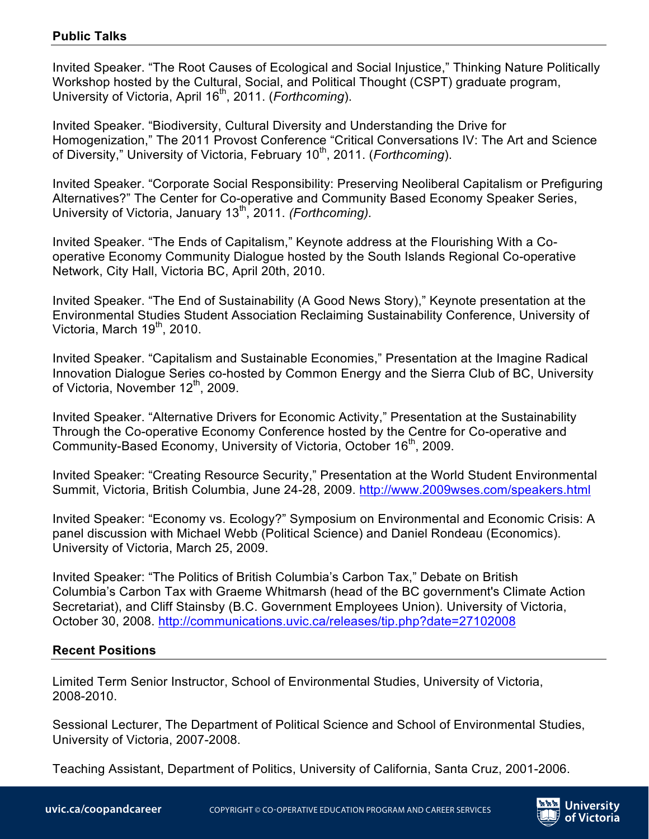### **Public Talks**

Invited Speaker. "The Root Causes of Ecological and Social Injustice," Thinking Nature Politically Workshop hosted by the Cultural, Social, and Political Thought (CSPT) graduate program, University of Victoria, April 16th, 2011. (*Forthcoming*).

Invited Speaker. "Biodiversity, Cultural Diversity and Understanding the Drive for Homogenization," The 2011 Provost Conference "Critical Conversations IV: The Art and Science of Diversity," University of Victoria, February 10<sup>th</sup>, 2011. (*Forthcoming*).

Invited Speaker. "Corporate Social Responsibility: Preserving Neoliberal Capitalism or Prefiguring Alternatives?" The Center for Co-operative and Community Based Economy Speaker Series, University of Victoria, January 13<sup>th</sup>, 2011. *(Forthcoming)*.

Invited Speaker. "The Ends of Capitalism," Keynote address at the Flourishing With a Cooperative Economy Community Dialogue hosted by the South Islands Regional Co-operative Network, City Hall, Victoria BC, April 20th, 2010.

Invited Speaker. "The End of Sustainability (A Good News Story)," Keynote presentation at the Environmental Studies Student Association Reclaiming Sustainability Conference, University of Victoria, March  $19<sup>th</sup>$ , 2010.

Invited Speaker. "Capitalism and Sustainable Economies," Presentation at the Imagine Radical Innovation Dialogue Series co-hosted by Common Energy and the Sierra Club of BC, University of Victoria, November 12<sup>th</sup>, 2009.

Invited Speaker. "Alternative Drivers for Economic Activity," Presentation at the Sustainability Through the Co-operative Economy Conference hosted by the Centre for Co-operative and Community-Based Economy, University of Victoria, October 16<sup>th</sup>, 2009.

Invited Speaker: "Creating Resource Security," Presentation at the World Student Environmental Summit, Victoria, British Columbia, June 24-28, 2009. http://www.2009wses.com/speakers.html

Invited Speaker: "Economy vs. Ecology?" Symposium on Environmental and Economic Crisis: A panel discussion with Michael Webb (Political Science) and Daniel Rondeau (Economics). University of Victoria, March 25, 2009.

Invited Speaker: "The Politics of British Columbia's Carbon Tax," Debate on British Columbia's Carbon Tax with Graeme Whitmarsh (head of the BC government's Climate Action Secretariat), and Cliff Stainsby (B.C. Government Employees Union). University of Victoria, October 30, 2008. http://communications.uvic.ca/releases/tip.php?date=27102008

## **Recent Positions**

Limited Term Senior Instructor, School of Environmental Studies, University of Victoria, 2008-2010.

Sessional Lecturer, The Department of Political Science and School of Environmental Studies, University of Victoria, 2007-2008.

Teaching Assistant, Department of Politics, University of California, Santa Cruz, 2001-2006.